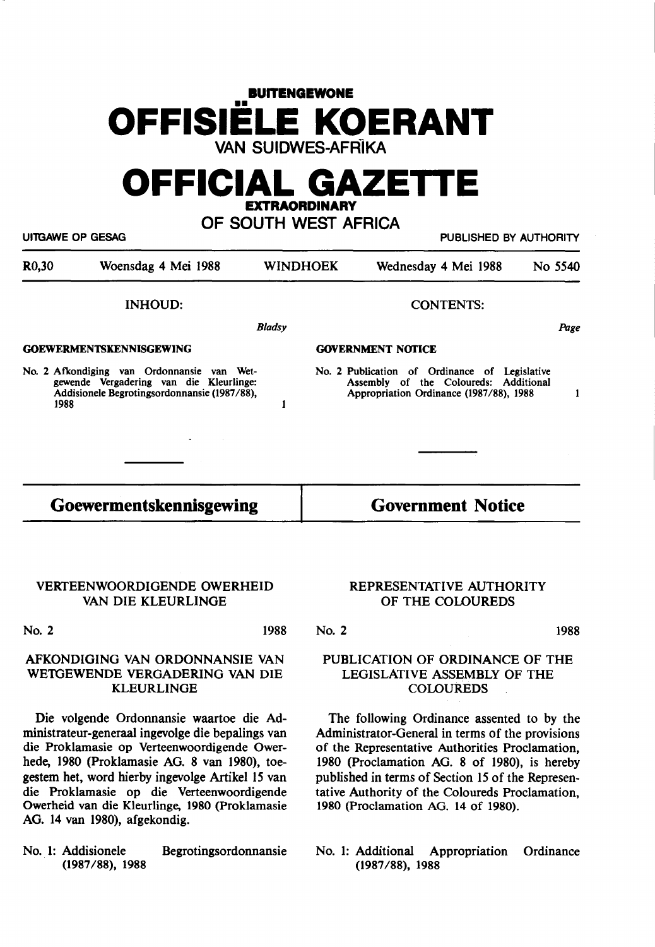# **BUITENGEWONE OFFISIELE KOERANT**  VAN SUIDWES-AFRÎKA

# **OFFICIAL GAZETIE LEXTRAORDINARY**

## OF SOUTH WEST AFRICA

Ul'TGAWE OP GESAG PUBLISHED BY AUTHORITY

| R <sub>0</sub> ,30 | Woensdag 4 Mei 1988                                                                                                                           | <b>WINDHOEK</b> | Wednesday 4 Mei 1988<br>No 5540                                                                                                   |      |
|--------------------|-----------------------------------------------------------------------------------------------------------------------------------------------|-----------------|-----------------------------------------------------------------------------------------------------------------------------------|------|
|                    | <b>INHOUD:</b>                                                                                                                                |                 | <b>CONTENTS:</b>                                                                                                                  |      |
|                    |                                                                                                                                               | <b>Bladsy</b>   |                                                                                                                                   | Page |
|                    | <b>GOEWERMENTSKENNISGEWING</b>                                                                                                                |                 | <b>GOVERNMENT NOTICE</b>                                                                                                          |      |
|                    | No. 2 Afkondiging van Ordonnansie van Wet-<br>gewende Vergadering van die Kleurlinge:<br>Addisionele Begrotingsordonnansie (1987/88),<br>1988 |                 | No. 2 Publication of Ordinance of Legislative<br>Assembly of the Coloureds: Additional<br>Appropriation Ordinance (1987/88), 1988 |      |

## **Goewermentskennisgewing**

## VERTEENWOORDIGENDE OWERHEID VAN DIE KLEURLINGE

No. 2 1988

### AFKONDIGING VAN ORDONNANSIE VAN WETGEWENDE VERGADERING VAN DIE KLEURLINGE

Die volgende Ordonnansie waartoe die Administrateur-generaal ingevolge die bepalings van die Proklamasie op Verteenwoordigende Owerhede, 1980 (Proklamasie AG. 8 van 1980), toegestem bet, word hierby ingevolge Artikel 15 van die Proklamasie op die Verteenwoordigende Owerheid van die Kleurlinge, 1980 (Proklamasie AG. 14 van 1980), afgekondig.

No. 1: Addisionele Begrotingsordonnansie (1987/88), **1988** 

### REPRESENTATIVE AUTHORITY OF THE COLOUREDS

**Government Notice** 

No. 2

### 1988

### PUBLICATION OF ORDINANCE OF THE LEGISLATIVE **ASSEMBLY** OF THE COLOUREDS

The following Ordinance assented to by the Administrator-General in terms of the provisions of the Representative Authorities Proclamation, 1980 (Proclamation **AG. 8** of 1980), is hereby published in terms of Section 15 of the Representative Authority of the Coloureds Proclamation, 1980 (Proclamation AG. 14 of 1980).

No. 1: Additional Appropriation Ordinance (1987 **/88), 1988**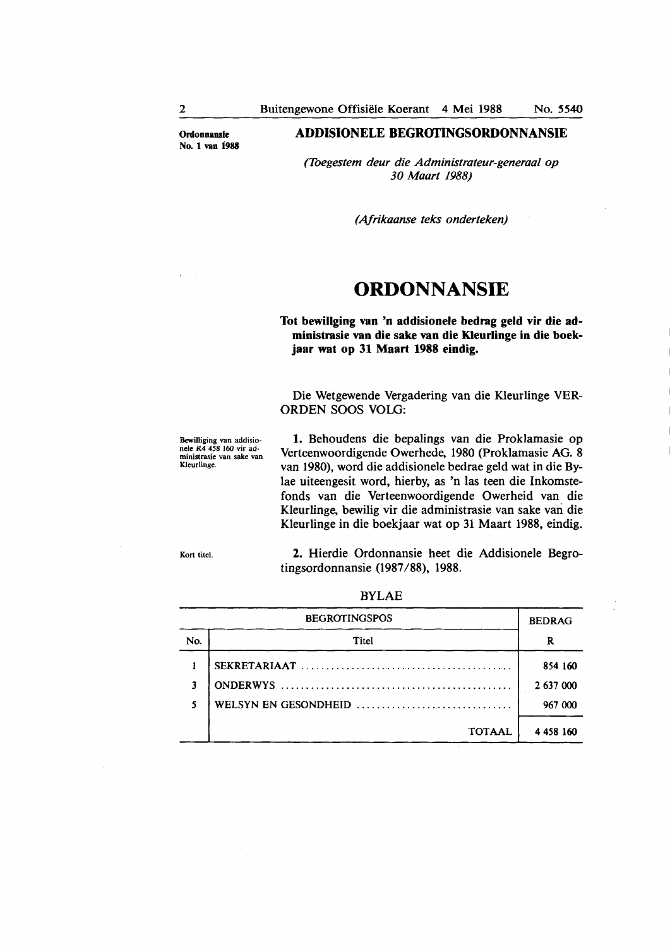**Ordonnansle**  No. 1 **van 1988** 

#### **ADDISIONELE BEGROfINGSORDONNANSIE**

*(Toegestem deur die Administrateur-generaal op 30 Maart 1988)* 

*(Afrikaanse teks onderteken)* 

# **ORDONNANSIE**

**Tot bewillging van 'n addisionele bedrag geld vir die administrasie van die sake van die Kleurlinge in die boekjaar wat op 31 Maart 1988 eindig.** 

Die Wetgewende Vergadering van die Kleurlinge VER-ORDEN SOOS VOLO:

Bewilliging van addisio• **nele R4** 458 160 vir administrasie van sake van Kleurlinge.

**1.** Behoudens die bepalings van die Proklamasie op Verteenwoordigende Owerhede, 1980 (Proklamasie AG. 8 van 1980), word die addisionele bedrae geld wat in die Bylae uiteengesit word, hierby, as 'n las teen die lnkomstefonds van die Verteenwoordigende Owerheid van die Kleurlinge, bewilig vir die administrasie van sake van die Kleurlinge in die boekjaar wat op 31 Maart 1988, eindig.

Kort titel.

2. Hierdie Ordonnansie heet die Addisionele Begrotingsordonnansie (1987 **/88),** 1988.

|     | <b>BEDRAG</b>        |           |
|-----|----------------------|-----------|
| No. | Titel                | R         |
|     |                      | 854 160   |
| 3   |                      | 2 637 000 |
| 5   | WELSYN EN GESONDHEID | 967 000   |
|     | <b>TOTAAL</b>        | 4 458 160 |